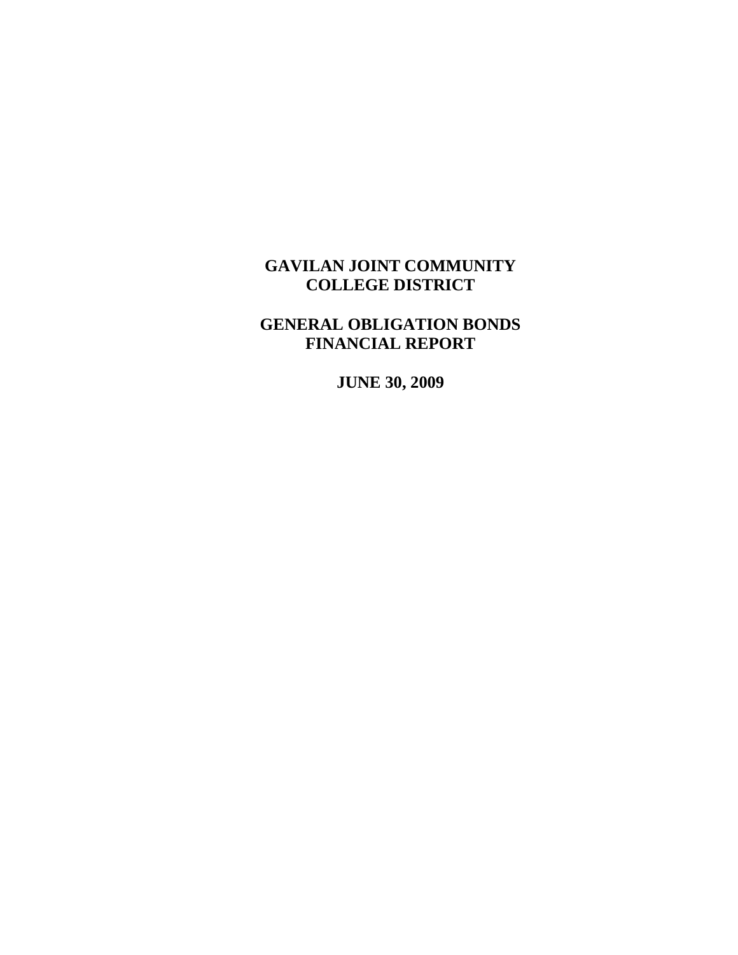# **GENERAL OBLIGATION BONDS FINANCIAL REPORT**

**JUNE 30, 2009**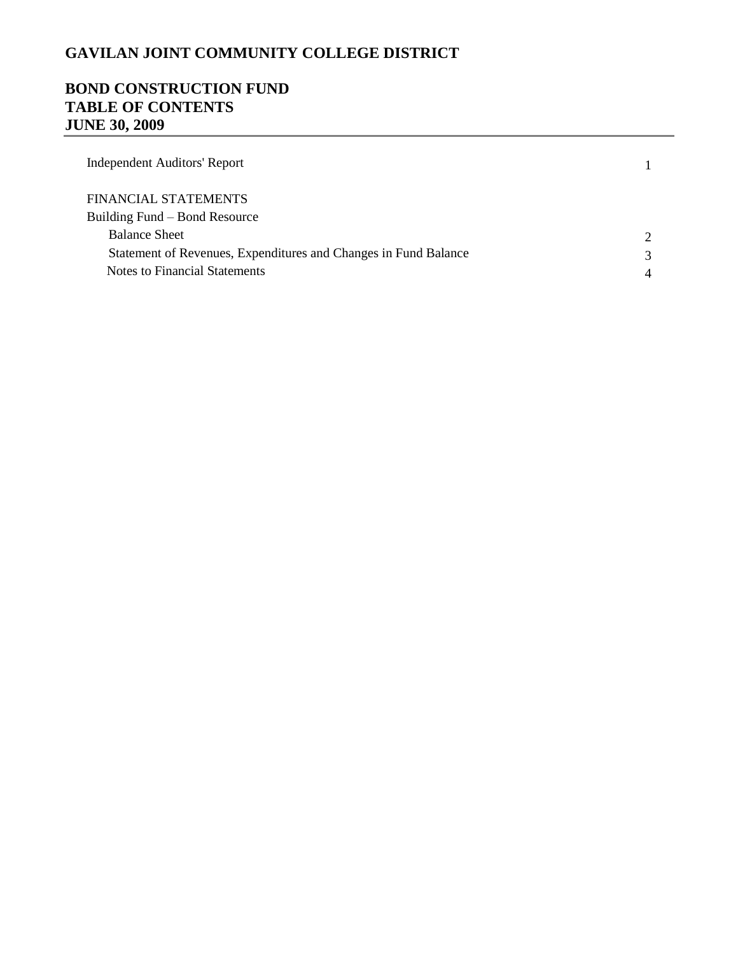## **BOND CONSTRUCTION FUND TABLE OF CONTENTS JUNE 30, 2009**

| Independent Auditors' Report                                    |  |
|-----------------------------------------------------------------|--|
| FINANCIAL STATEMENTS                                            |  |
| Building Fund – Bond Resource                                   |  |
| <b>Balance Sheet</b>                                            |  |
| Statement of Revenues, Expenditures and Changes in Fund Balance |  |
| Notes to Financial Statements                                   |  |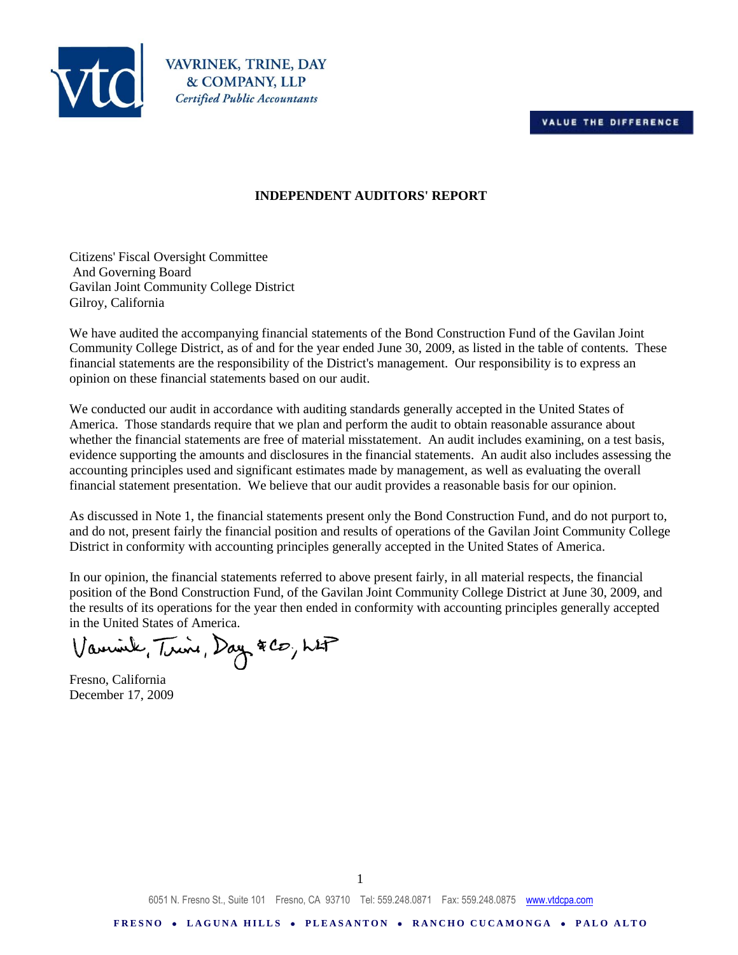



VAVRINEK, TRINE, DAY & COMPANY, LLP **Certified Public Accountants** 

## **INDEPENDENT AUDITORS' REPORT**

Citizens' Fiscal Oversight Committee And Governing Board Gavilan Joint Community College District Gilroy, California

We have audited the accompanying financial statements of the Bond Construction Fund of the Gavilan Joint Community College District, as of and for the year ended June 30, 2009, as listed in the table of contents. These financial statements are the responsibility of the District's management. Our responsibility is to express an opinion on these financial statements based on our audit.

We conducted our audit in accordance with auditing standards generally accepted in the United States of America. Those standards require that we plan and perform the audit to obtain reasonable assurance about whether the financial statements are free of material misstatement. An audit includes examining, on a test basis, evidence supporting the amounts and disclosures in the financial statements. An audit also includes assessing the accounting principles used and significant estimates made by management, as well as evaluating the overall financial statement presentation. We believe that our audit provides a reasonable basis for our opinion.

As discussed in Note 1, the financial statements present only the Bond Construction Fund, and do not purport to, and do not, present fairly the financial position and results of operations of the Gavilan Joint Community College District in conformity with accounting principles generally accepted in the United States of America.

In our opinion, the financial statements referred to above present fairly, in all material respects, the financial position of the Bond Construction Fund, of the Gavilan Joint Community College District at June 30, 2009, and the results of its operations for the year then ended in conformity with accounting principles generally accepted in the United States of America.

Varmink, Trine, Day & CO, LAP

Fresno, California December 17, 2009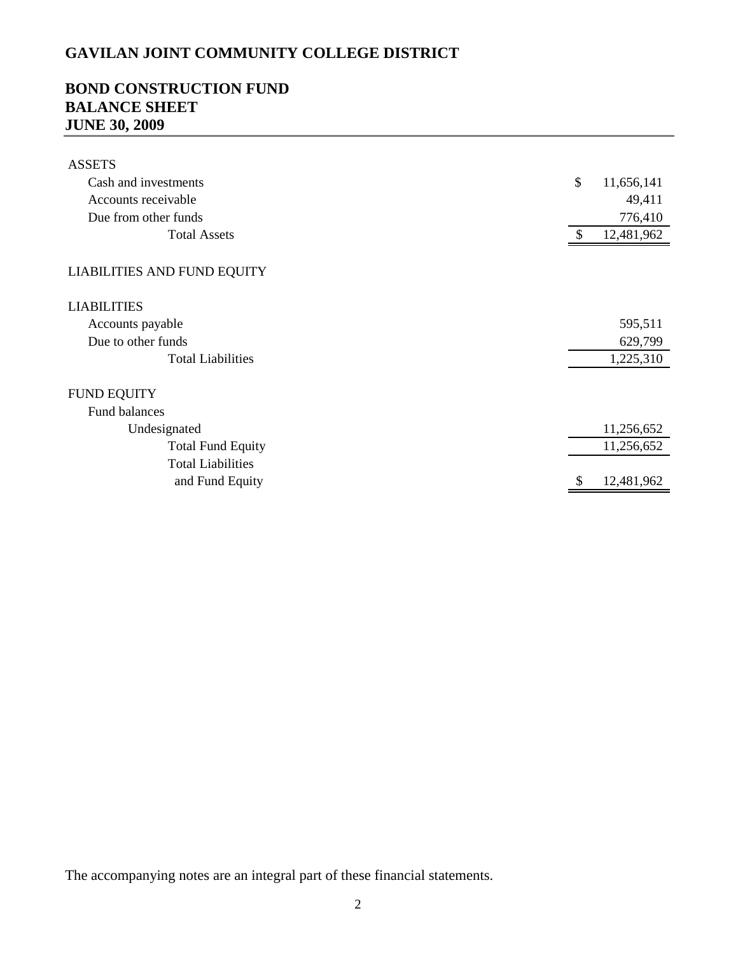## **BOND CONSTRUCTION FUND BALANCE SHEET JUNE 30, 2009**

| <b>ASSETS</b>                      |    |            |
|------------------------------------|----|------------|
| Cash and investments               | \$ | 11,656,141 |
| Accounts receivable                |    | 49,411     |
| Due from other funds               |    | 776,410    |
| <b>Total Assets</b>                | \$ | 12,481,962 |
|                                    |    |            |
| <b>LIABILITIES AND FUND EQUITY</b> |    |            |
| <b>LIABILITIES</b>                 |    |            |
| Accounts payable                   |    | 595,511    |
| Due to other funds                 |    | 629,799    |
| <b>Total Liabilities</b>           |    | 1,225,310  |
| <b>FUND EQUITY</b>                 |    |            |
| <b>Fund balances</b>               |    |            |
| Undesignated                       |    | 11,256,652 |
| <b>Total Fund Equity</b>           |    | 11,256,652 |
| <b>Total Liabilities</b>           |    |            |
| and Fund Equity                    | Ъ  | 12,481,962 |

The accompanying notes are an integral part of these financial statements.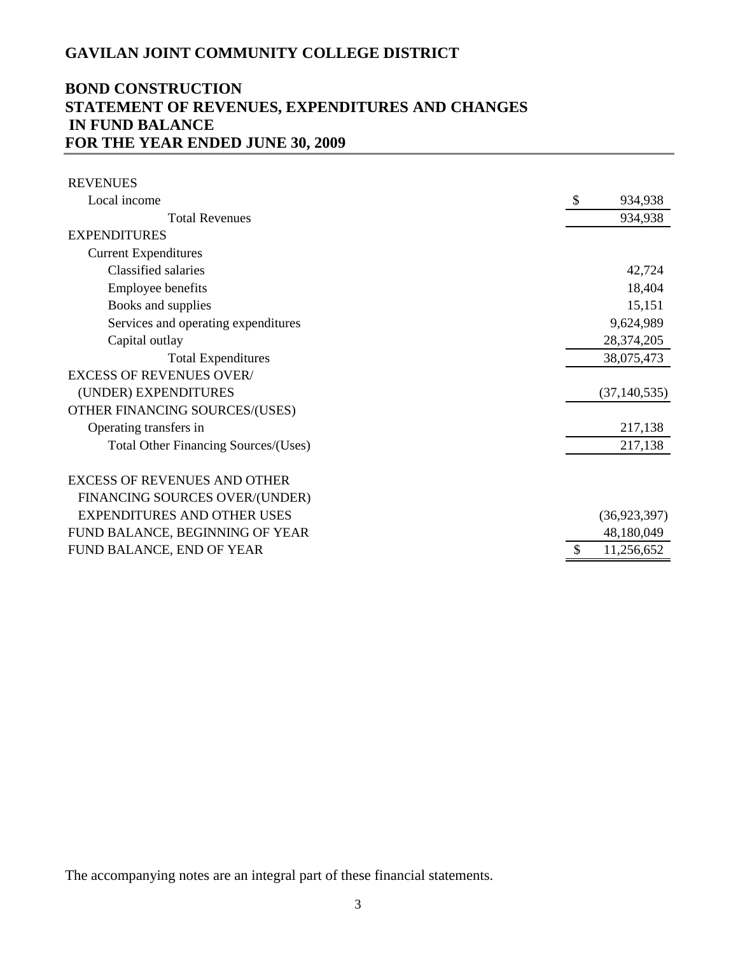## **BOND CONSTRUCTION STATEMENT OF REVENUES, EXPENDITURES AND CHANGES IN FUND BALANCE FOR THE YEAR ENDED JUNE 30, 2009**

| <b>REVENUES</b>                      |                |
|--------------------------------------|----------------|
| Local income                         | -S<br>934,938  |
| <b>Total Revenues</b>                | 934,938        |
| <b>EXPENDITURES</b>                  |                |
| <b>Current Expenditures</b>          |                |
| Classified salaries                  | 42,724         |
| Employee benefits                    | 18,404         |
| Books and supplies                   | 15,151         |
| Services and operating expenditures  | 9,624,989      |
| Capital outlay                       | 28,374,205     |
| <b>Total Expenditures</b>            | 38,075,473     |
| <b>EXCESS OF REVENUES OVER/</b>      |                |
| (UNDER) EXPENDITURES                 | (37, 140, 535) |
| OTHER FINANCING SOURCES/(USES)       |                |
| Operating transfers in               | 217,138        |
| Total Other Financing Sources/(Uses) | 217,138        |
| <b>EXCESS OF REVENUES AND OTHER</b>  |                |
| FINANCING SOURCES OVER/(UNDER)       |                |
| <b>EXPENDITURES AND OTHER USES</b>   | (36, 923, 397) |
| FUND BALANCE, BEGINNING OF YEAR      | 48,180,049     |
| FUND BALANCE, END OF YEAR            | 11,256,652     |

The accompanying notes are an integral part of these financial statements.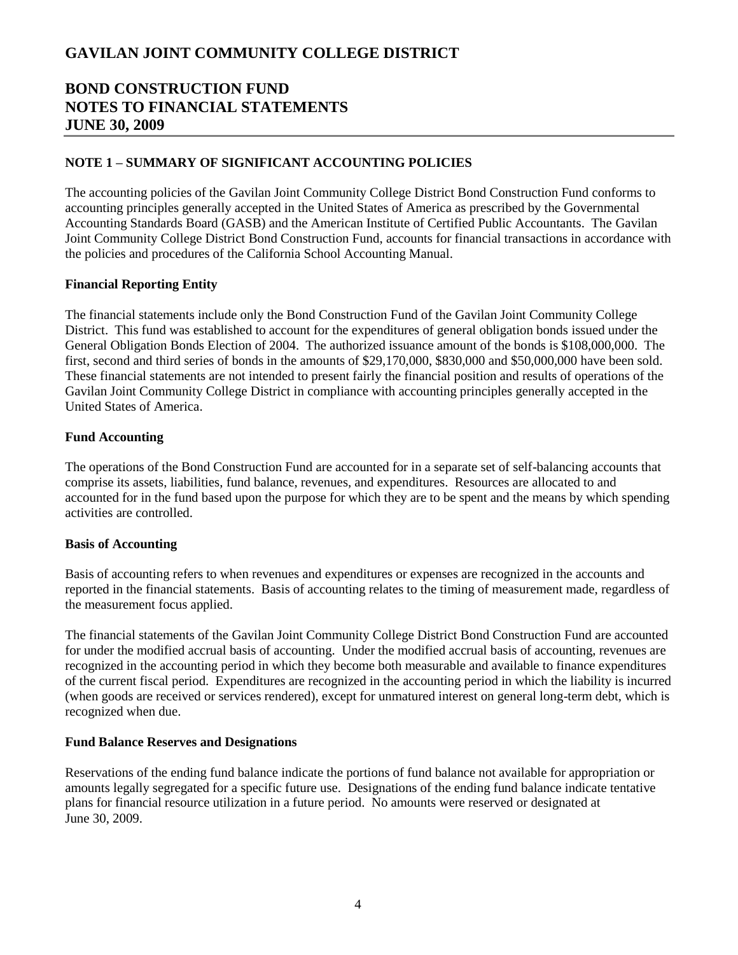## **BOND CONSTRUCTION FUND NOTES TO FINANCIAL STATEMENTS JUNE 30, 2009**

## **NOTE 1 – SUMMARY OF SIGNIFICANT ACCOUNTING POLICIES**

The accounting policies of the Gavilan Joint Community College District Bond Construction Fund conforms to accounting principles generally accepted in the United States of America as prescribed by the Governmental Accounting Standards Board (GASB) and the American Institute of Certified Public Accountants. The Gavilan Joint Community College District Bond Construction Fund, accounts for financial transactions in accordance with the policies and procedures of the California School Accounting Manual.

### **Financial Reporting Entity**

The financial statements include only the Bond Construction Fund of the Gavilan Joint Community College District. This fund was established to account for the expenditures of general obligation bonds issued under the General Obligation Bonds Election of 2004. The authorized issuance amount of the bonds is \$108,000,000. The first, second and third series of bonds in the amounts of \$29,170,000, \$830,000 and \$50,000,000 have been sold. These financial statements are not intended to present fairly the financial position and results of operations of the Gavilan Joint Community College District in compliance with accounting principles generally accepted in the United States of America.

### **Fund Accounting**

The operations of the Bond Construction Fund are accounted for in a separate set of self-balancing accounts that comprise its assets, liabilities, fund balance, revenues, and expenditures. Resources are allocated to and accounted for in the fund based upon the purpose for which they are to be spent and the means by which spending activities are controlled.

### **Basis of Accounting**

Basis of accounting refers to when revenues and expenditures or expenses are recognized in the accounts and reported in the financial statements. Basis of accounting relates to the timing of measurement made, regardless of the measurement focus applied.

The financial statements of the Gavilan Joint Community College District Bond Construction Fund are accounted for under the modified accrual basis of accounting. Under the modified accrual basis of accounting, revenues are recognized in the accounting period in which they become both measurable and available to finance expenditures of the current fiscal period. Expenditures are recognized in the accounting period in which the liability is incurred (when goods are received or services rendered), except for unmatured interest on general long-term debt, which is recognized when due.

### **Fund Balance Reserves and Designations**

Reservations of the ending fund balance indicate the portions of fund balance not available for appropriation or amounts legally segregated for a specific future use. Designations of the ending fund balance indicate tentative plans for financial resource utilization in a future period. No amounts were reserved or designated at June 30, 2009.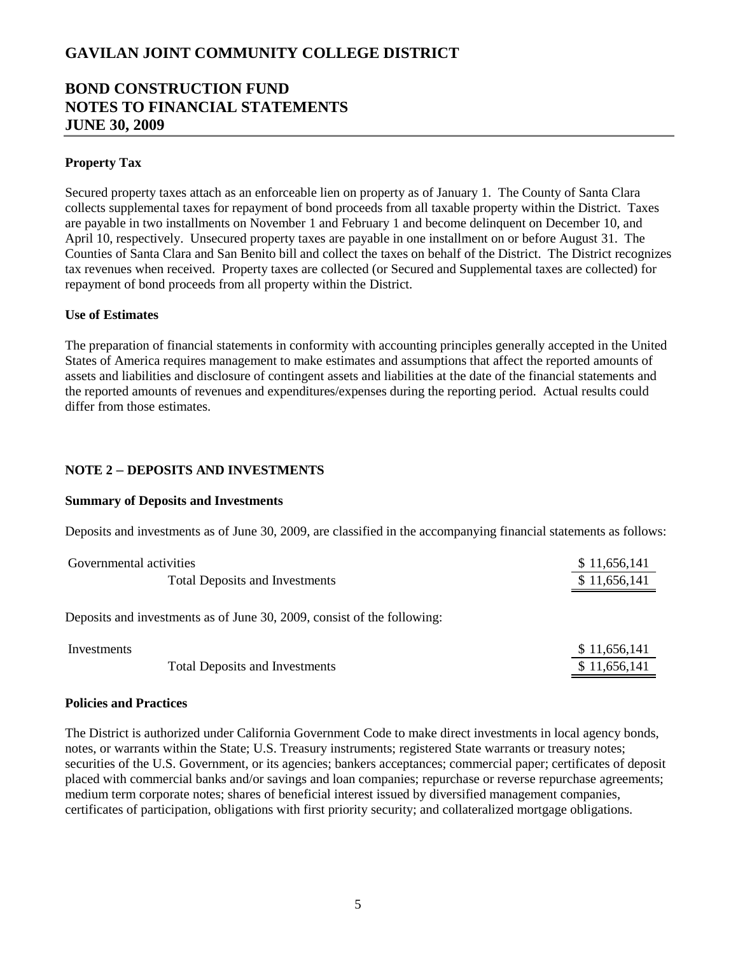## **BOND CONSTRUCTION FUND NOTES TO FINANCIAL STATEMENTS JUNE 30, 2009**

### **Property Tax**

Secured property taxes attach as an enforceable lien on property as of January 1. The County of Santa Clara collects supplemental taxes for repayment of bond proceeds from all taxable property within the District. Taxes are payable in two installments on November 1 and February 1 and become delinquent on December 10, and April 10, respectively. Unsecured property taxes are payable in one installment on or before August 31. The Counties of Santa Clara and San Benito bill and collect the taxes on behalf of the District. The District recognizes tax revenues when received. Property taxes are collected (or Secured and Supplemental taxes are collected) for repayment of bond proceeds from all property within the District.

### **Use of Estimates**

The preparation of financial statements in conformity with accounting principles generally accepted in the United States of America requires management to make estimates and assumptions that affect the reported amounts of assets and liabilities and disclosure of contingent assets and liabilities at the date of the financial statements and the reported amounts of revenues and expenditures/expenses during the reporting period. Actual results could differ from those estimates.

### **NOTE 2** *–* **DEPOSITS AND INVESTMENTS**

#### **Summary of Deposits and Investments**

Deposits and investments as of June 30, 2009, are classified in the accompanying financial statements as follows:

| Governmental activities                                                 | \$11,656,141 |
|-------------------------------------------------------------------------|--------------|
| <b>Total Deposits and Investments</b>                                   | \$11,656,141 |
| Deposits and investments as of June 30, 2009, consist of the following: |              |
| Investments                                                             | \$11,656,141 |
| <b>Total Deposits and Investments</b>                                   | \$11,656,141 |

# **Policies and Practices**

The District is authorized under California Government Code to make direct investments in local agency bonds, notes, or warrants within the State; U.S. Treasury instruments; registered State warrants or treasury notes; securities of the U.S. Government, or its agencies; bankers acceptances; commercial paper; certificates of deposit placed with commercial banks and/or savings and loan companies; repurchase or reverse repurchase agreements; medium term corporate notes; shares of beneficial interest issued by diversified management companies, certificates of participation, obligations with first priority security; and collateralized mortgage obligations.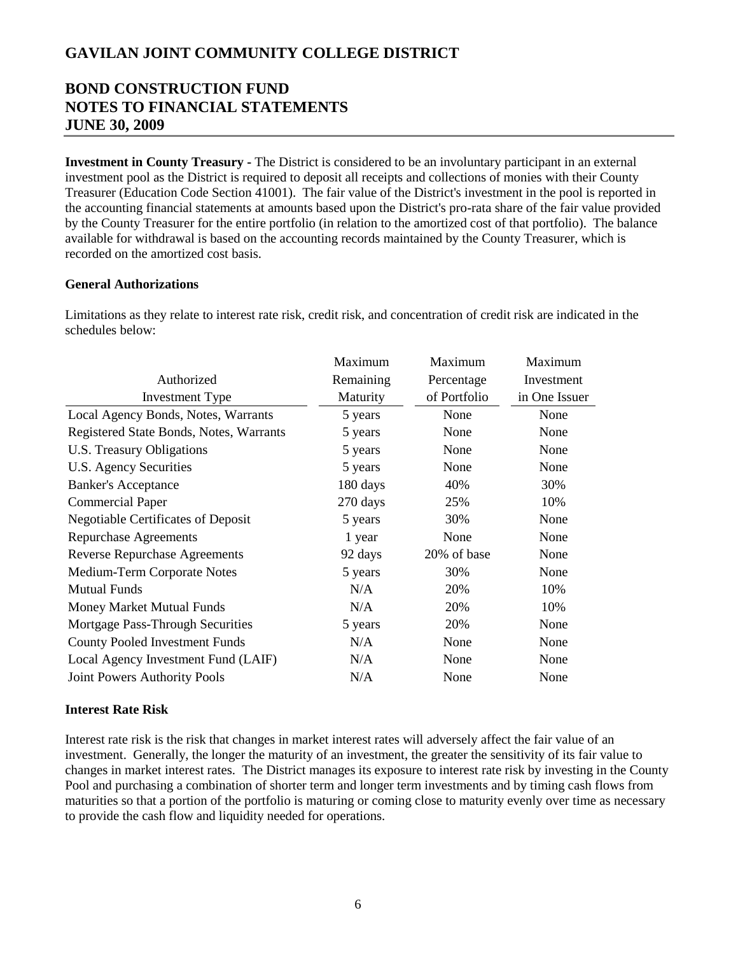## **BOND CONSTRUCTION FUND NOTES TO FINANCIAL STATEMENTS JUNE 30, 2009**

**Investment in County Treasury -** The District is considered to be an involuntary participant in an external investment pool as the District is required to deposit all receipts and collections of monies with their County Treasurer (Education Code Section 41001). The fair value of the District's investment in the pool is reported in the accounting financial statements at amounts based upon the District's pro-rata share of the fair value provided by the County Treasurer for the entire portfolio (in relation to the amortized cost of that portfolio). The balance available for withdrawal is based on the accounting records maintained by the County Treasurer, which is recorded on the amortized cost basis.

### **General Authorizations**

Limitations as they relate to interest rate risk, credit risk, and concentration of credit risk are indicated in the schedules below:

|                                           | Maximum   | Maximum      | Maximum       |
|-------------------------------------------|-----------|--------------|---------------|
| Authorized                                | Remaining | Percentage   | Investment    |
| <b>Investment Type</b>                    | Maturity  | of Portfolio | in One Issuer |
| Local Agency Bonds, Notes, Warrants       | 5 years   | None         | None          |
| Registered State Bonds, Notes, Warrants   | 5 years   | None         | None          |
| U.S. Treasury Obligations                 | 5 years   | None         | None          |
| U.S. Agency Securities                    | 5 years   | None         | None          |
| <b>Banker's Acceptance</b>                | 180 days  | 40%          | 30%           |
| <b>Commercial Paper</b>                   | 270 days  | 25%          | 10%           |
| <b>Negotiable Certificates of Deposit</b> | 5 years   | 30%          | None          |
| <b>Repurchase Agreements</b>              | 1 year    | None         | None          |
| <b>Reverse Repurchase Agreements</b>      | 92 days   | 20% of base  | None          |
| Medium-Term Corporate Notes               | 5 years   | 30%          | None          |
| <b>Mutual Funds</b>                       | N/A       | 20%          | 10%           |
| Money Market Mutual Funds                 | N/A       | 20%          | 10%           |
| Mortgage Pass-Through Securities          | 5 years   | 20%          | None          |
| <b>County Pooled Investment Funds</b>     | N/A       | None         | None          |
| Local Agency Investment Fund (LAIF)       | N/A       | None         | None          |
| <b>Joint Powers Authority Pools</b>       | N/A       | None         | None          |

### **Interest Rate Risk**

Interest rate risk is the risk that changes in market interest rates will adversely affect the fair value of an investment. Generally, the longer the maturity of an investment, the greater the sensitivity of its fair value to changes in market interest rates. The District manages its exposure to interest rate risk by investing in the County Pool and purchasing a combination of shorter term and longer term investments and by timing cash flows from maturities so that a portion of the portfolio is maturing or coming close to maturity evenly over time as necessary to provide the cash flow and liquidity needed for operations.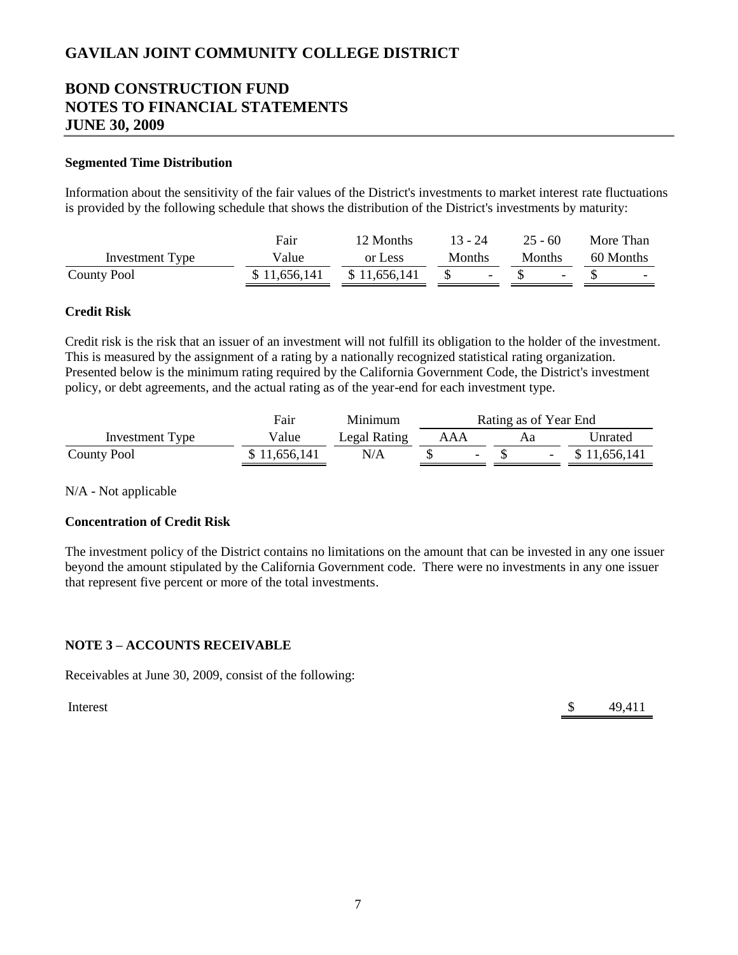## **BOND CONSTRUCTION FUND NOTES TO FINANCIAL STATEMENTS JUNE 30, 2009**

### **Segmented Time Distribution**

Information about the sensitivity of the fair values of the District's investments to market interest rate fluctuations is provided by the following schedule that shows the distribution of the District's investments by maturity:

|                    | Fair         | 12 Months    | $13 - 24$ | $25 - 60$     | More Than |
|--------------------|--------------|--------------|-----------|---------------|-----------|
| Investment Type    | Value        | or Less      | Months    | <b>Months</b> | 60 Months |
| <b>County Pool</b> | \$11,656,141 | \$11,656,141 |           |               | $\sim$    |

### **Credit Risk**

Credit risk is the risk that an issuer of an investment will not fulfill its obligation to the holder of the investment. This is measured by the assignment of a rating by a nationally recognized statistical rating organization. Presented below is the minimum rating required by the California Government Code, the District's investment policy, or debt agreements, and the actual rating as of the year-end for each investment type.

|                    | Fair         | Minimum      | Rating as of Year End |  |              |
|--------------------|--------------|--------------|-----------------------|--|--------------|
| Investment Type    | Value        | Legal Rating | AAA                   |  | Unrated      |
| <b>County Pool</b> | \$11,656,141 | N/A          | $\overline{a}$        |  | \$11,656,141 |

N/A - Not applicable

### **Concentration of Credit Risk**

The investment policy of the District contains no limitations on the amount that can be invested in any one issuer beyond the amount stipulated by the California Government code. There were no investments in any one issuer that represent five percent or more of the total investments.

### **NOTE 3 – ACCOUNTS RECEIVABLE**

Receivables at June 30, 2009, consist of the following:

Interest  $\qquad \qquad$  49,411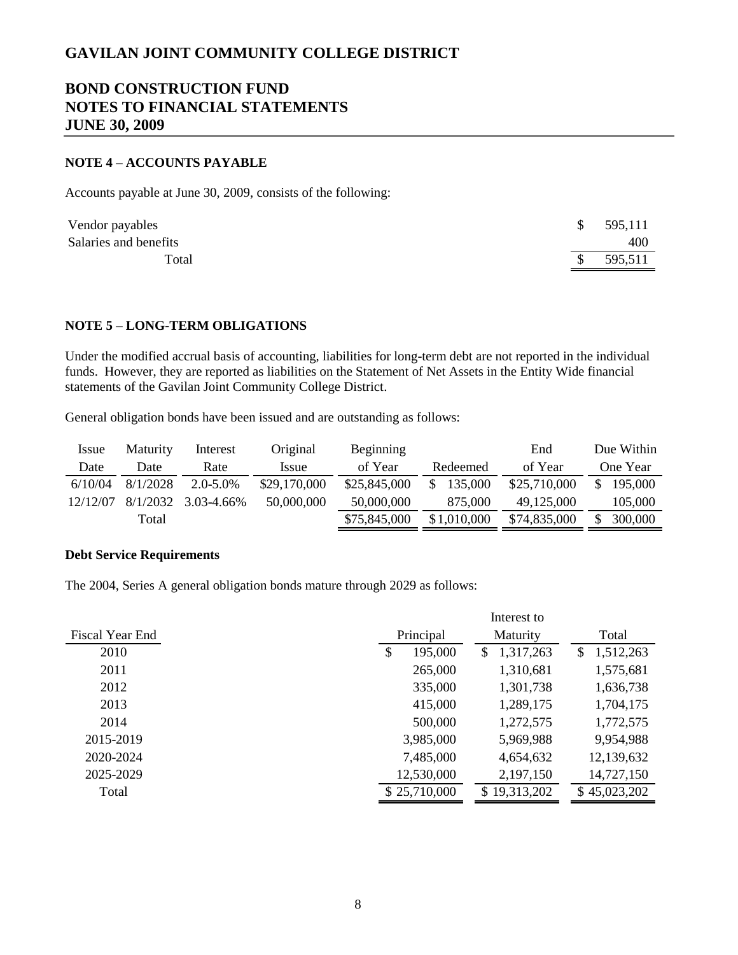## **BOND CONSTRUCTION FUND NOTES TO FINANCIAL STATEMENTS JUNE 30, 2009**

### **NOTE 4 – ACCOUNTS PAYABLE**

Accounts payable at June 30, 2009, consists of the following:

| Vendor payables       |    | \$595,111 |
|-----------------------|----|-----------|
| Salaries and benefits |    | 400       |
| Total                 | S. | 595,511   |

### **NOTE 5 – LONG-TERM OBLIGATIONS**

Under the modified accrual basis of accounting, liabilities for long-term debt are not reported in the individual funds. However, they are reported as liabilities on the Statement of Net Assets in the Entity Wide financial statements of the Gavilan Joint Community College District.

General obligation bonds have been issued and are outstanding as follows:

| <i>Issue</i> | <b>Maturity</b> | Interest      | Original     | <b>Beginning</b> |                | End          | Due Within |
|--------------|-----------------|---------------|--------------|------------------|----------------|--------------|------------|
| Date         | Date            | Rate          | Issue        | of Year          | Redeemed       | of Year      | One Year   |
| 6/10/04      | 8/1/2028        | $2.0 - 5.0\%$ | \$29,170,000 | \$25,845,000     | 135,000<br>\$. | \$25,710,000 | 195,000    |
| 12/12/07     | 8/1/2032        | 3.03-4.66%    | 50,000,000   | 50,000,000       | 875,000        | 49,125,000   | 105,000    |
|              | Total           |               |              | \$75,845,000     | \$1,010,000    | \$74,835,000 | 300,000    |

### **Debt Service Requirements**

The 2004, Series A general obligation bonds mature through 2029 as follows:

|                 | Interest to   |                 |                 |  |
|-----------------|---------------|-----------------|-----------------|--|
| Fiscal Year End | Principal     | Maturity        | Total           |  |
| 2010            | \$<br>195,000 | 1,317,263<br>S. | 1,512,263<br>\$ |  |
| 2011            | 265,000       | 1,310,681       | 1,575,681       |  |
| 2012            | 335,000       | 1,301,738       | 1,636,738       |  |
| 2013            | 415,000       | 1,289,175       | 1,704,175       |  |
| 2014            | 500,000       | 1,272,575       | 1,772,575       |  |
| 2015-2019       | 3,985,000     | 5,969,988       | 9,954,988       |  |
| 2020-2024       | 7,485,000     | 4,654,632       | 12,139,632      |  |
| 2025-2029       | 12,530,000    | 2,197,150       | 14,727,150      |  |
| Total           | \$25,710,000  | \$19,313,202    | \$45,023,202    |  |
|                 |               |                 |                 |  |